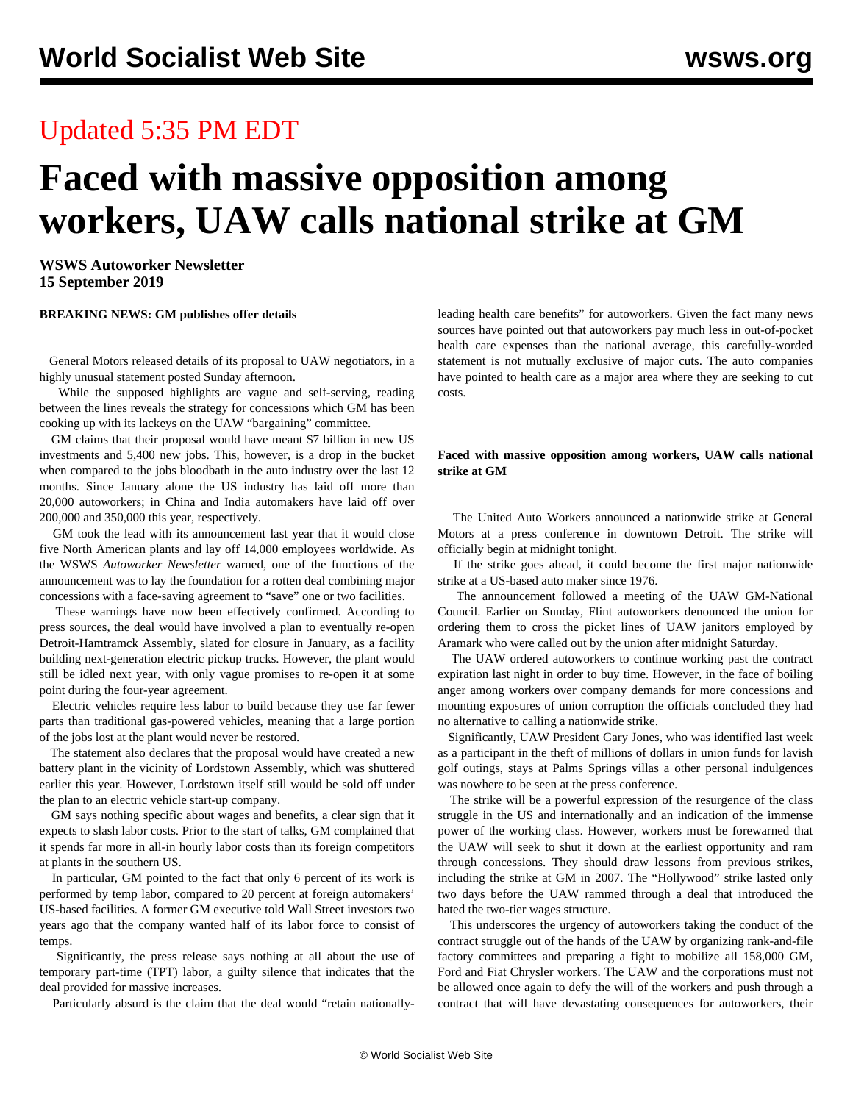## Updated 5:35 PM EDT

## **Faced with massive opposition among workers, UAW calls national strike at GM**

**WSWS Autoworker Newsletter 15 September 2019**

**BREAKING NEWS: GM publishes offer details**

 General Motors released details of its proposal to UAW negotiators, in a highly unusual statement posted Sunday afternoon.

 While the supposed highlights are vague and self-serving, reading between the lines reveals the strategy for concessions which GM has been cooking up with its lackeys on the UAW "bargaining" committee.

 GM claims that their proposal would have meant \$7 billion in new US investments and 5,400 new jobs. This, however, is a drop in the bucket when compared to the jobs bloodbath in the auto industry over the last 12 months. Since January alone the US industry has laid off more than 20,000 autoworkers; in China and India automakers have laid off over 200,000 and 350,000 this year, respectively.

 GM took the lead with its announcement last year that it would close five North American plants and lay off 14,000 employees worldwide. As the WSWS *Autoworker Newsletter* warned, one of the functions of the announcement was to lay the foundation for a rotten deal combining major concessions with a face-saving agreement to "save" one or two facilities.

 These warnings have now been effectively confirmed. According to press sources, the deal would have involved a plan to eventually re-open Detroit-Hamtramck Assembly, slated for closure in January, as a facility building next-generation electric pickup trucks. However, the plant would still be idled next year, with only vague promises to re-open it at some point during the four-year agreement.

 Electric vehicles require less labor to build because they use far fewer parts than traditional gas-powered vehicles, meaning that a large portion of the jobs lost at the plant would never be restored.

 The statement also declares that the proposal would have created a new battery plant in the vicinity of Lordstown Assembly, which was shuttered earlier this year. However, Lordstown itself still would be sold off under the plan to an electric vehicle start-up company.

 GM says nothing specific about wages and benefits, a clear sign that it expects to slash labor costs. Prior to the start of talks, GM complained that it spends far more in all-in hourly labor costs than its foreign competitors at plants in the southern US.

 In particular, GM pointed to the fact that only 6 percent of its work is performed by temp labor, compared to 20 percent at foreign automakers' US-based facilities. A former GM executive told Wall Street investors two years ago that the company wanted half of its labor force to consist of temps.

 Significantly, the press release says nothing at all about the use of temporary part-time (TPT) labor, a guilty silence that indicates that the deal provided for massive increases.

Particularly absurd is the claim that the deal would "retain nationally-

leading health care benefits" for autoworkers. Given the fact many news sources have pointed out that autoworkers pay much less in out-of-pocket health care expenses than the national average, this carefully-worded statement is not mutually exclusive of major cuts. The auto companies have pointed to health care as a major area where they are seeking to cut costs.

## **Faced with massive opposition among workers, UAW calls national strike at GM**

 The United Auto Workers announced a nationwide strike at General Motors at a press conference in downtown Detroit. The strike will officially begin at midnight tonight.

 If the strike goes ahead, it could become the first major nationwide strike at a US-based auto maker since 1976.

 The announcement followed a meeting of the UAW GM-National Council. Earlier on Sunday, Flint autoworkers denounced the union for ordering them to cross the picket lines of UAW janitors employed by Aramark who were called out by the union after midnight Saturday.

 The UAW ordered autoworkers to continue working past the contract expiration last night in order to buy time. However, in the face of boiling anger among workers over company demands for more concessions and mounting exposures of union corruption the officials concluded they had no alternative to calling a nationwide strike.

 Significantly, UAW President Gary Jones, who was identified last week as a participant in the theft of millions of dollars in union funds for lavish golf outings, stays at Palms Springs villas a other personal indulgences was nowhere to be seen at the press conference.

 The strike will be a powerful expression of the resurgence of the class struggle in the US and internationally and an indication of the immense power of the working class. However, workers must be forewarned that the UAW will seek to shut it down at the earliest opportunity and ram through concessions. They should draw lessons from previous strikes, including the strike at GM in 2007. The "Hollywood" strike lasted only two days before the UAW rammed through a deal that introduced the hated the two-tier wages structure.

 This underscores the urgency of autoworkers taking the conduct of the contract struggle out of the hands of the UAW by organizing rank-and-file factory committees and preparing a fight to mobilize all 158,000 GM, Ford and Fiat Chrysler workers. The UAW and the corporations must not be allowed once again to defy the will of the workers and push through a contract that will have devastating consequences for autoworkers, their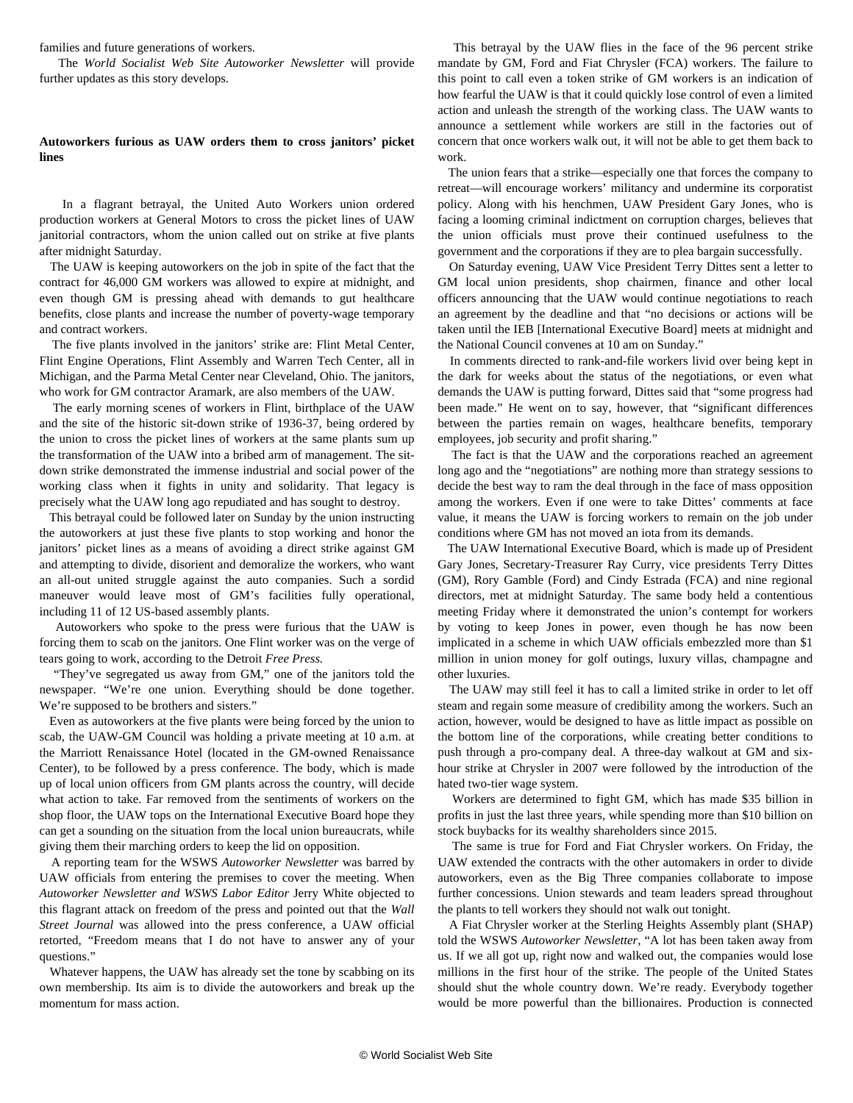families and future generations of workers.

 The *World Socialist Web Site Autoworker Newsletter* will provide further updates as this story develops.

## **Autoworkers furious as UAW orders them to cross janitors' picket lines**

 In a flagrant betrayal, the United Auto Workers union ordered production workers at General Motors to cross the picket lines of UAW janitorial contractors, whom the union called out on strike at five plants after midnight Saturday.

 The UAW is keeping autoworkers on the job in spite of the fact that the contract for 46,000 GM workers was allowed to expire at midnight, and even though GM is pressing ahead with demands to gut healthcare benefits, close plants and increase the number of poverty-wage temporary and contract workers.

 The five plants involved in the janitors' strike are: Flint Metal Center, Flint Engine Operations, Flint Assembly and Warren Tech Center, all in Michigan, and the Parma Metal Center near Cleveland, Ohio. The janitors, who work for GM contractor Aramark, are also members of the UAW.

 The early morning scenes of workers in Flint, birthplace of the UAW and the site of the historic sit-down strike of 1936-37, being ordered by the union to cross the picket lines of workers at the same plants sum up the transformation of the UAW into a bribed arm of management. The sitdown strike demonstrated the immense industrial and social power of the working class when it fights in unity and solidarity. That legacy is precisely what the UAW long ago repudiated and has sought to destroy.

 This betrayal could be followed later on Sunday by the union instructing the autoworkers at just these five plants to stop working and honor the janitors' picket lines as a means of avoiding a direct strike against GM and attempting to divide, disorient and demoralize the workers, who want an all-out united struggle against the auto companies. Such a sordid maneuver would leave most of GM's facilities fully operational, including 11 of 12 US-based assembly plants.

 Autoworkers who spoke to the press were furious that the UAW is forcing them to scab on the janitors. One Flint worker was on the verge of tears going to work, according to the Detroit *Free Press.*

 "They've segregated us away from GM," one of the janitors told the newspaper. "We're one union. Everything should be done together. We're supposed to be brothers and sisters."

 Even as autoworkers at the five plants were being forced by the union to scab, the UAW-GM Council was holding a private meeting at 10 a.m. at the Marriott Renaissance Hotel (located in the GM-owned Renaissance Center), to be followed by a press conference. The body, which is made up of local union officers from GM plants across the country, will decide what action to take. Far removed from the sentiments of workers on the shop floor, the UAW tops on the International Executive Board hope they can get a sounding on the situation from the local union bureaucrats, while giving them their marching orders to keep the lid on opposition.

 A reporting team for the WSWS *Autoworker Newsletter* was barred by UAW officials from entering the premises to cover the meeting. When *Autoworker Newsletter and WSWS Labor Editor* Jerry White objected to this flagrant attack on freedom of the press and pointed out that the *Wall Street Journal* was allowed into the press conference, a UAW official retorted, "Freedom means that I do not have to answer any of your questions."

 Whatever happens, the UAW has already set the tone by scabbing on its own membership. Its aim is to divide the autoworkers and break up the momentum for mass action.

 This betrayal by the UAW flies in the face of the 96 percent strike mandate by GM, Ford and Fiat Chrysler (FCA) workers. The failure to this point to call even a token strike of GM workers is an indication of how fearful the UAW is that it could quickly lose control of even a limited action and unleash the strength of the working class. The UAW wants to announce a settlement while workers are still in the factories out of concern that once workers walk out, it will not be able to get them back to work.

 The union fears that a strike—especially one that forces the company to retreat—will encourage workers' militancy and undermine its corporatist policy. Along with his henchmen, UAW President Gary Jones, who is facing a looming criminal indictment on corruption charges, believes that the union officials must prove their continued usefulness to the government and the corporations if they are to plea bargain successfully.

 On Saturday evening, UAW Vice President Terry Dittes sent a letter to GM local union presidents, shop chairmen, finance and other local officers announcing that the UAW would continue negotiations to reach an agreement by the deadline and that "no decisions or actions will be taken until the IEB [International Executive Board] meets at midnight and the National Council convenes at 10 am on Sunday."

 In comments directed to rank-and-file workers livid over being kept in the dark for weeks about the status of the negotiations, or even what demands the UAW is putting forward, Dittes said that "some progress had been made." He went on to say, however, that "significant differences between the parties remain on wages, healthcare benefits, temporary employees, job security and profit sharing."

 The fact is that the UAW and the corporations reached an agreement long ago and the "negotiations" are nothing more than strategy sessions to decide the best way to ram the deal through in the face of mass opposition among the workers. Even if one were to take Dittes' comments at face value, it means the UAW is forcing workers to remain on the job under conditions where GM has not moved an iota from its demands.

 The UAW International Executive Board, which is made up of President Gary Jones, Secretary-Treasurer Ray Curry, vice presidents Terry Dittes (GM), Rory Gamble (Ford) and Cindy Estrada (FCA) and nine regional directors, met at midnight Saturday. The same body held a contentious meeting Friday where it demonstrated the union's contempt for workers by voting to keep Jones in power, even though he has now been implicated in a scheme in which UAW officials embezzled more than \$1 million in union money for golf outings, luxury villas, champagne and other luxuries.

 The UAW may still feel it has to call a limited strike in order to let off steam and regain some measure of credibility among the workers. Such an action, however, would be designed to have as little impact as possible on the bottom line of the corporations, while creating better conditions to push through a pro-company deal. A three-day walkout at GM and sixhour strike at Chrysler in 2007 were followed by the introduction of the hated two-tier wage system.

 Workers are determined to fight GM, which has made \$35 billion in profits in just the last three years, while spending more than \$10 billion on stock buybacks for its wealthy shareholders since 2015.

 The same is true for Ford and Fiat Chrysler workers. On Friday, the UAW extended the contracts with the other automakers in order to divide autoworkers, even as the Big Three companies collaborate to impose further concessions. Union stewards and team leaders spread throughout the plants to tell workers they should not walk out tonight.

 A Fiat Chrysler worker at the Sterling Heights Assembly plant (SHAP) told the WSWS *Autoworker Newsletter*, "A lot has been taken away from us. If we all got up, right now and walked out, the companies would lose millions in the first hour of the strike. The people of the United States should shut the whole country down. We're ready. Everybody together would be more powerful than the billionaires. Production is connected